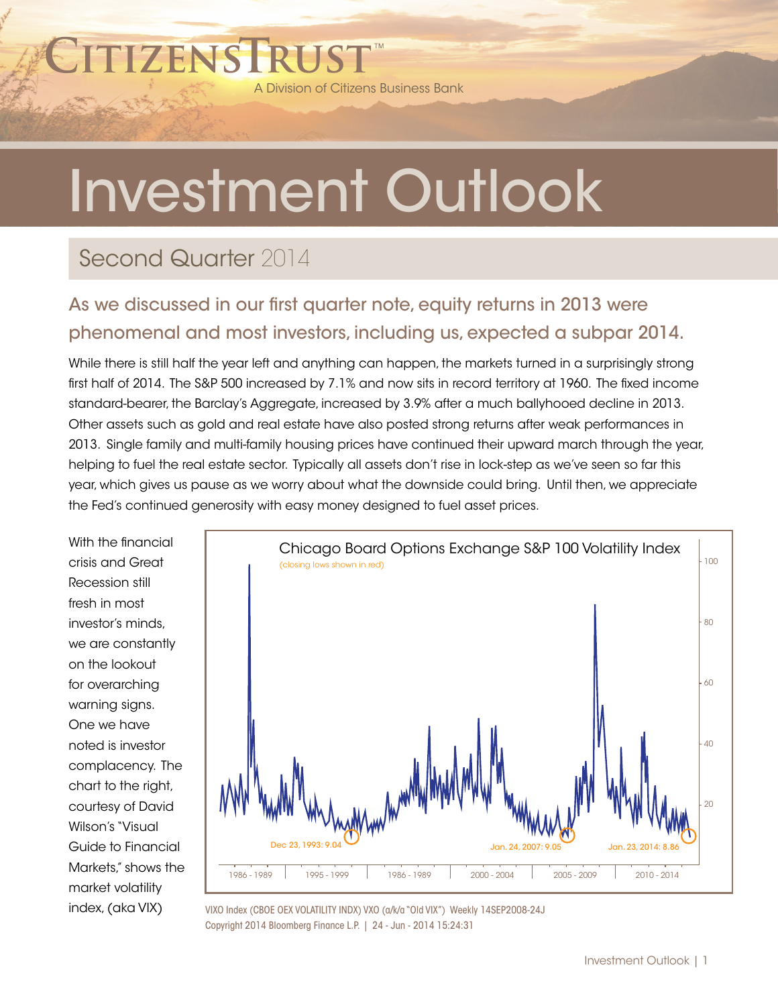### TIZENS RUST A Division of Citizens Business Bank

# Investment Outlook

## Second Quarter 2014

#### As we discussed in our first quarter note, equity returns in 2013 were phenomenal and most investors, including us, expected a subpar 2014.

While there is still half the year left and anything can happen, the markets turned in a surprisingly strong first half of 2014. The S&P 500 increased by 7.1% and now sits in record territory at 1960. The fixed income standard-bearer, the Barclay's Aggregate, increased by 3.9% after a much ballyhooed decline in 2013. Other assets such as gold and real estate have also posted strong returns after weak performances in 2013. Single family and multi-family housing prices have continued their upward march through the year, helping to fuel the real estate sector. Typically all assets don't rise in lock-step as we've seen so far this year, which gives us pause as we worry about what the downside could bring. Until then, we appreciate the Fed's continued generosity with easy money designed to fuel asset prices.

With the financial crisis and Great Recession still fresh in most investor's minds, we are constantly on the lookout for overarching warning signs. One we have noted is investor complacency. The chart to the right, courtesy of David Wilson's "Visual Guide to Financial Markets," shows the market volatility index, (aka VIX)



VIXO Index (CBOE OEX VOLATILITY INDX) VXO (a/k/a "Old VIX") Weekly 14SEP2008-24J Copyright 2014 Bloomberg Finance L.P. | 24 - Jun - 2014 15:24:31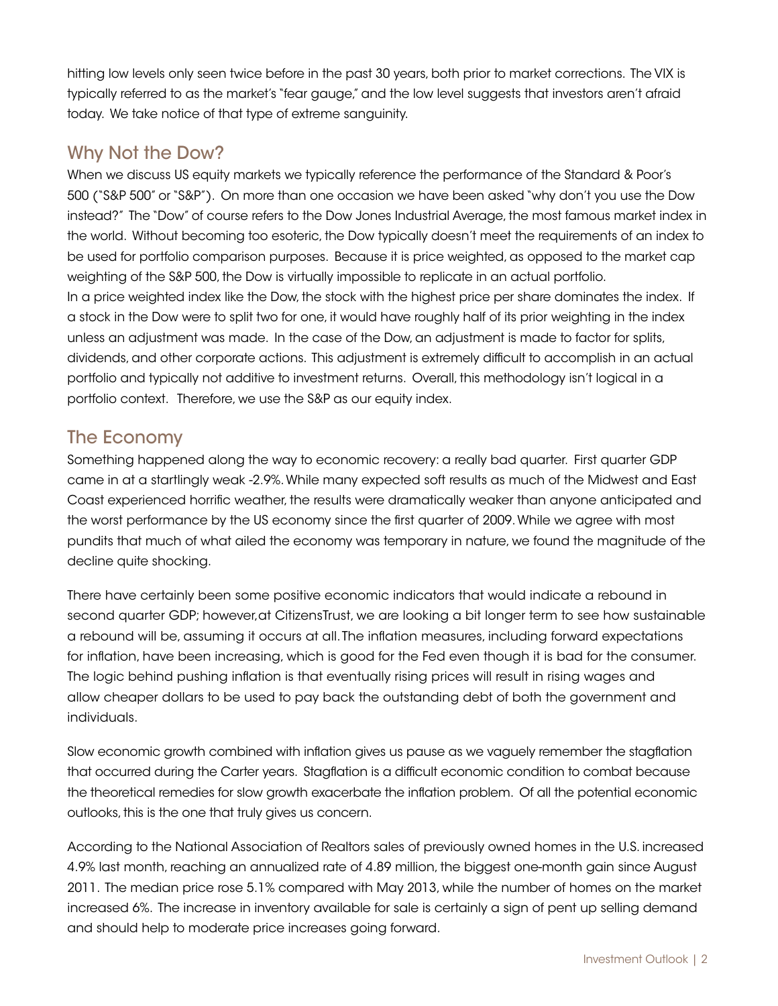hitting low levels only seen twice before in the past 30 years, both prior to market corrections. The VIX is typically referred to as the market's "fear gauge," and the low level suggests that investors aren't afraid today. We take notice of that type of extreme sanguinity.

#### Why Not the Dow?

When we discuss US equity markets we typically reference the performance of the Standard & Poor's 500 ("S&P 500" or "S&P"). On more than one occasion we have been asked "why don't you use the Dow instead?" The "Dow" of course refers to the Dow Jones Industrial Average, the most famous market index in the world. Without becoming too esoteric, the Dow typically doesn't meet the requirements of an index to be used for portfolio comparison purposes. Because it is price weighted, as opposed to the market cap weighting of the S&P 500, the Dow is virtually impossible to replicate in an actual portfolio. In a price weighted index like the Dow, the stock with the highest price per share dominates the index. If a stock in the Dow were to split two for one, it would have roughly half of its prior weighting in the index unless an adjustment was made. In the case of the Dow, an adjustment is made to factor for splits, dividends, and other corporate actions. This adjustment is extremely difficult to accomplish in an actual portfolio and typically not additive to investment returns. Overall, this methodology isn't logical in a portfolio context. Therefore, we use the S&P as our equity index.

#### The Economy

Something happened along the way to economic recovery: a really bad quarter. First quarter GDP came in at a startlingly weak -2.9%. While many expected soft results as much of the Midwest and East Coast experienced horrific weather, the results were dramatically weaker than anyone anticipated and the worst performance by the US economy since the first quarter of 2009. While we agree with most pundits that much of what ailed the economy was temporary in nature, we found the magnitude of the decline quite shocking.

There have certainly been some positive economic indicators that would indicate a rebound in second quarter GDP; however,at CitizensTrust, we are looking a bit longer term to see how sustainable a rebound will be, assuming it occurs at all. The inflation measures, including forward expectations for inflation, have been increasing, which is good for the Fed even though it is bad for the consumer. The logic behind pushing inflation is that eventually rising prices will result in rising wages and allow cheaper dollars to be used to pay back the outstanding debt of both the government and individuals.

Slow economic growth combined with inflation gives us pause as we vaguely remember the stagflation that occurred during the Carter years. Stagflation is a difficult economic condition to combat because the theoretical remedies for slow growth exacerbate the inflation problem. Of all the potential economic outlooks, this is the one that truly gives us concern.

According to the National Association of Realtors sales of previously owned homes in the U.S. increased 4.9% last month, reaching an annualized rate of 4.89 million, the biggest one-month gain since August 2011. The median price rose 5.1% compared with May 2013, while the number of homes on the market increased 6%. The increase in inventory available for sale is certainly a sign of pent up selling demand and should help to moderate price increases going forward.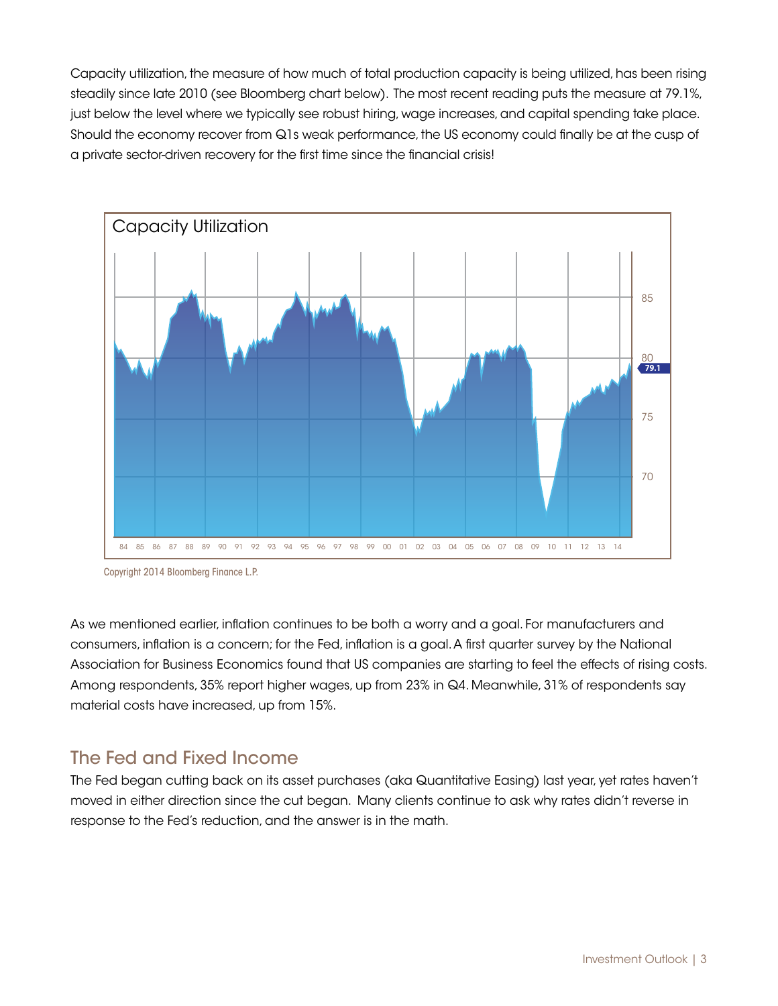Capacity utilization, the measure of how much of total production capacity is being utilized, has been rising steadily since late 2010 (see Bloomberg chart below). The most recent reading puts the measure at 79.1%, just below the level where we typically see robust hiring, wage increases, and capital spending take place. Should the economy recover from Q1s weak performance, the US economy could finally be at the cusp of a private sector-driven recovery for the first time since the financial crisis!



Copyright 2014 Bloomberg Finance L.P.

As we mentioned earlier, inflation continues to be both a worry and a goal. For manufacturers and consumers, inflation is a concern; for the Fed, inflation is a goal. A first quarter survey by the National Association for Business Economics found that US companies are starting to feel the effects of rising costs. Among respondents, 35% report higher wages, up from 23% in Q4. Meanwhile, 31% of respondents say material costs have increased, up from 15%.

#### The Fed and Fixed Income

The Fed began cutting back on its asset purchases (aka Quantitative Easing) last year, yet rates haven't moved in either direction since the cut began. Many clients continue to ask why rates didn't reverse in response to the Fed's reduction, and the answer is in the math.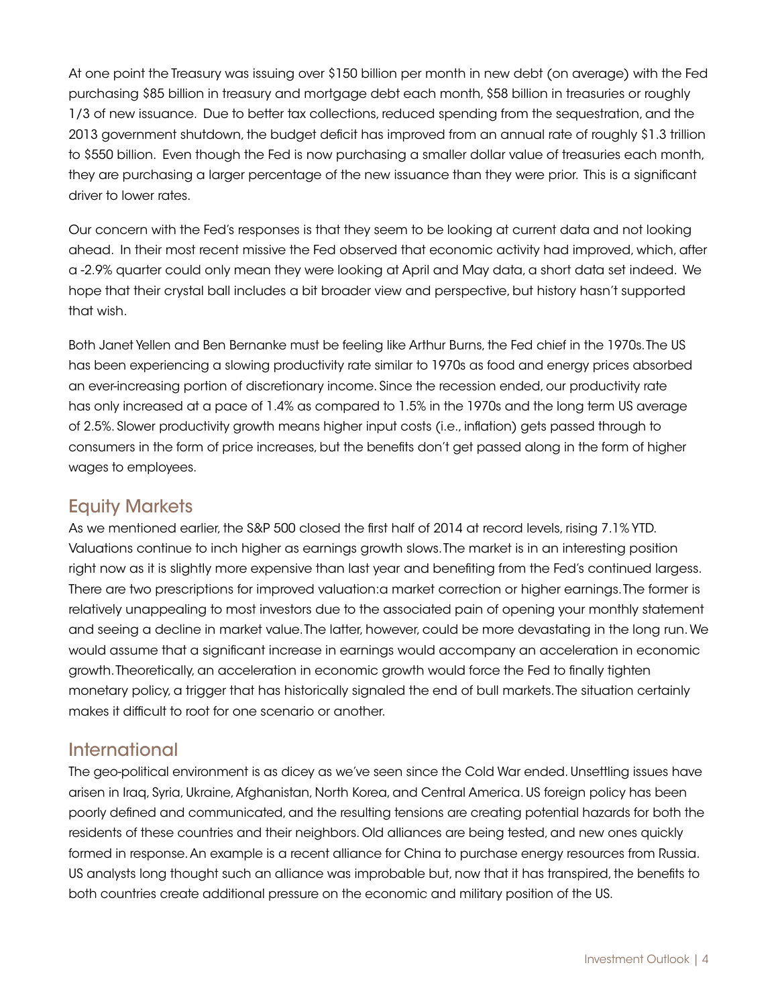At one point the Treasury was issuing over \$150 billion per month in new debt (on average) with the Fed purchasing \$85 billion in treasury and mortgage debt each month, \$58 billion in treasuries or roughly 1/3 of new issuance. Due to better tax collections, reduced spending from the sequestration, and the 2013 government shutdown, the budget deficit has improved from an annual rate of roughly \$1.3 trillion to \$550 billion. Even though the Fed is now purchasing a smaller dollar value of treasuries each month, they are purchasing a larger percentage of the new issuance than they were prior. This is a significant driver to lower rates.

Our concern with the Fed's responses is that they seem to be looking at current data and not looking ahead. In their most recent missive the Fed observed that economic activity had improved, which, after a -2.9% quarter could only mean they were looking at April and May data, a short data set indeed. We hope that their crystal ball includes a bit broader view and perspective, but history hasn't supported that wish.

Both Janet Yellen and Ben Bernanke must be feeling like Arthur Burns, the Fed chief in the 1970s. The US has been experiencing a slowing productivity rate similar to 1970s as food and energy prices absorbed an ever-increasing portion of discretionary income. Since the recession ended, our productivity rate has only increased at a pace of 1.4% as compared to 1.5% in the 1970s and the long term US average of 2.5%. Slower productivity growth means higher input costs (i.e., inflation) gets passed through to consumers in the form of price increases, but the benefits don't get passed along in the form of higher wages to employees.

#### Equity Markets

As we mentioned earlier, the S&P 500 closed the first half of 2014 at record levels, rising 7.1% YTD. Valuations continue to inch higher as earnings growth slows. The market is in an interesting position right now as it is slightly more expensive than last year and benefiting from the Fed's continued largess. There are two prescriptions for improved valuation:a market correction or higher earnings. The former is relatively unappealing to most investors due to the associated pain of opening your monthly statement and seeing a decline in market value. The latter, however, could be more devastating in the long run. We would assume that a significant increase in earnings would accompany an acceleration in economic growth. Theoretically, an acceleration in economic growth would force the Fed to finally tighten monetary policy, a trigger that has historically signaled the end of bull markets. The situation certainly makes it difficult to root for one scenario or another.

#### International

The geo-political environment is as dicey as we've seen since the Cold War ended. Unsettling issues have arisen in Iraq, Syria, Ukraine, Afghanistan, North Korea, and Central America. US foreign policy has been poorly defined and communicated, and the resulting tensions are creating potential hazards for both the residents of these countries and their neighbors. Old alliances are being tested, and new ones quickly formed in response. An example is a recent alliance for China to purchase energy resources from Russia. US analysts long thought such an alliance was improbable but, now that it has transpired, the benefits to both countries create additional pressure on the economic and military position of the US.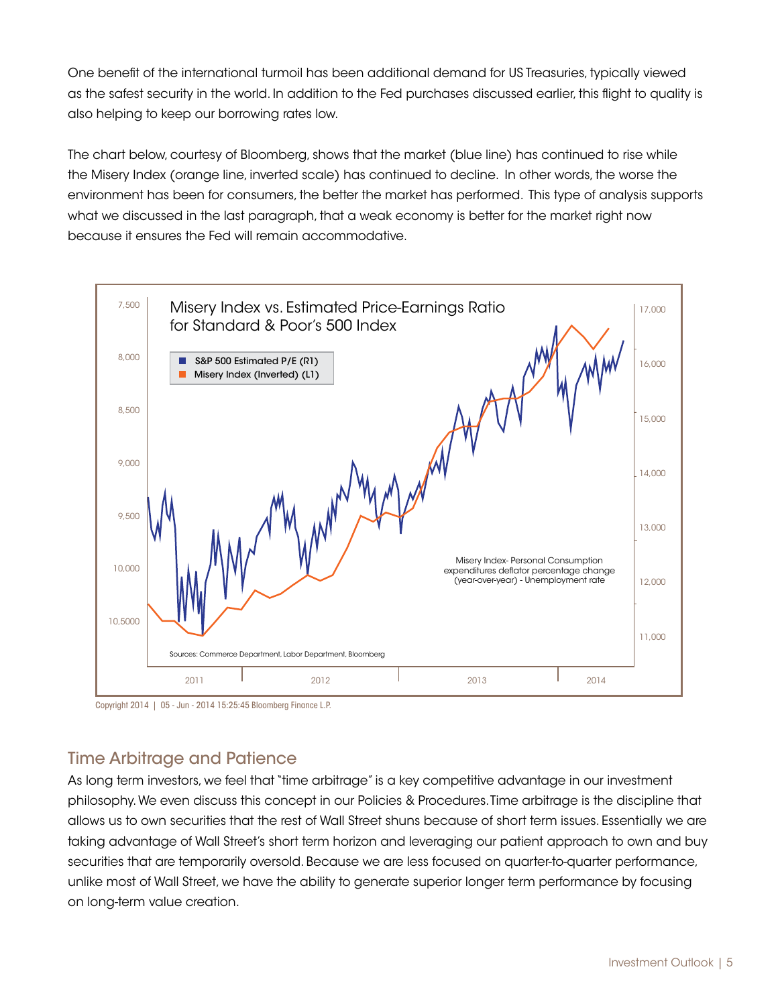One benefit of the international turmoil has been additional demand for US Treasuries, typically viewed as the safest security in the world. In addition to the Fed purchases discussed earlier, this flight to quality is also helping to keep our borrowing rates low.

The chart below, courtesy of Bloomberg, shows that the market (blue line) has continued to rise while the Misery Index (orange line, inverted scale) has continued to decline. In other words, the worse the environment has been for consumers, the better the market has performed. This type of analysis supports what we discussed in the last paragraph, that a weak economy is better for the market right now because it ensures the Fed will remain accommodative.



Copyright 2014 | 05 - Jun - 2014 15:25:45 Bloomberg Finance L.P.

#### Time Arbitrage and Patience

As long term investors, we feel that "time arbitrage" is a key competitive advantage in our investment philosophy. We even discuss this concept in our Policies & Procedures. Time arbitrage is the discipline that allows us to own securities that the rest of Wall Street shuns because of short term issues. Essentially we are taking advantage of Wall Street's short term horizon and leveraging our patient approach to own and buy securities that are temporarily oversold. Because we are less focused on quarter-to-quarter performance, unlike most of Wall Street, we have the ability to generate superior longer term performance by focusing on long-term value creation.